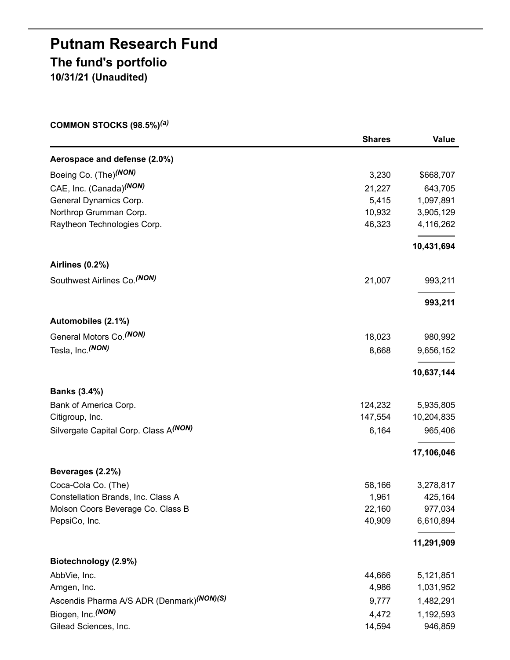# **Putnam Research Fund The fund's portfolio 10/31/21 (Unaudited)**

**COMMON STOCKS (98.5%)** *(a)*

|                                                       | <b>Shares</b> | Value      |
|-------------------------------------------------------|---------------|------------|
| Aerospace and defense (2.0%)                          |               |            |
| Boeing Co. (The) <sup>(NON)</sup>                     | 3,230         | \$668,707  |
| CAE, Inc. (Canada) <sup>(NON)</sup>                   | 21,227        | 643,705    |
| General Dynamics Corp.                                | 5,415         | 1,097,891  |
| Northrop Grumman Corp.                                | 10,932        | 3,905,129  |
| Raytheon Technologies Corp.                           | 46,323        | 4,116,262  |
|                                                       |               | 10,431,694 |
| Airlines (0.2%)                                       |               |            |
| Southwest Airlines Co. (NON)                          | 21,007        | 993,211    |
|                                                       |               | 993,211    |
| Automobiles (2.1%)                                    |               |            |
| General Motors Co. (NON)                              | 18,023        | 980,992    |
| Tesla, Inc. (NON)                                     | 8,668         | 9,656,152  |
|                                                       |               | 10,637,144 |
| <b>Banks (3.4%)</b>                                   |               |            |
| Bank of America Corp.                                 | 124,232       | 5,935,805  |
| Citigroup, Inc.                                       | 147,554       | 10,204,835 |
| Silvergate Capital Corp. Class A(NON)                 | 6,164         | 965,406    |
|                                                       |               | 17,106,046 |
| Beverages (2.2%)                                      |               |            |
| Coca-Cola Co. (The)                                   | 58,166        | 3,278,817  |
| Constellation Brands, Inc. Class A                    | 1,961         | 425,164    |
| Molson Coors Beverage Co. Class B                     | 22,160        | 977,034    |
| PepsiCo, Inc.                                         | 40,909        | 6,610,894  |
|                                                       |               | 11,291,909 |
| Biotechnology (2.9%)                                  |               |            |
| AbbVie, Inc.                                          | 44,666        | 5,121,851  |
| Amgen, Inc.                                           | 4,986         | 1,031,952  |
| Ascendis Pharma A/S ADR (Denmark) <sup>(NON)(S)</sup> | 9,777         | 1,482,291  |
| Biogen, Inc. (NON)                                    | 4,472         | 1,192,593  |
| Gilead Sciences, Inc.                                 | 14,594        | 946,859    |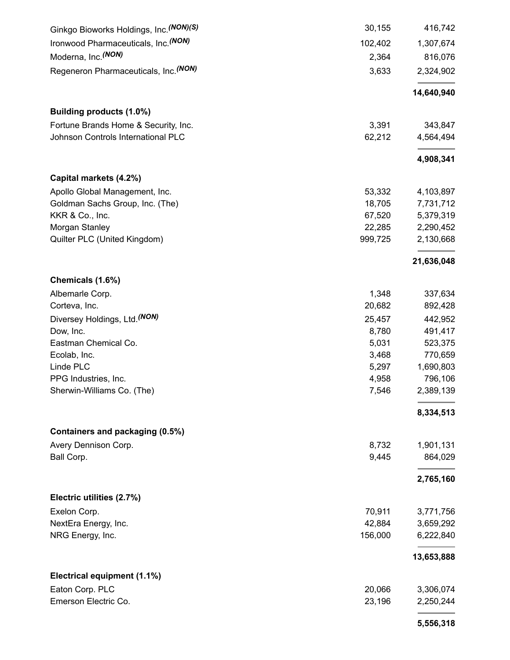| Ginkgo Bioworks Holdings, Inc. (NON)(S) | 30,155  | 416,742    |
|-----------------------------------------|---------|------------|
| Ironwood Pharmaceuticals, Inc. (NON)    | 102,402 | 1,307,674  |
| Moderna, Inc. <sup>(NON)</sup>          | 2,364   | 816,076    |
| Regeneron Pharmaceuticals, Inc. (NON)   | 3,633   | 2,324,902  |
|                                         |         | 14,640,940 |
| Building products (1.0%)                |         |            |
| Fortune Brands Home & Security, Inc.    | 3,391   | 343,847    |
| Johnson Controls International PLC      | 62,212  | 4,564,494  |
|                                         |         | 4,908,341  |
| Capital markets (4.2%)                  |         |            |
| Apollo Global Management, Inc.          | 53,332  | 4,103,897  |
| Goldman Sachs Group, Inc. (The)         | 18,705  | 7,731,712  |
| KKR & Co., Inc.                         | 67,520  | 5,379,319  |
| Morgan Stanley                          | 22,285  | 2,290,452  |
| Quilter PLC (United Kingdom)            | 999,725 | 2,130,668  |
|                                         |         | 21,636,048 |
| Chemicals (1.6%)                        |         |            |
| Albemarle Corp.                         | 1,348   | 337,634    |
| Corteva, Inc.                           | 20,682  | 892,428    |
| Diversey Holdings, Ltd. (NON)           | 25,457  | 442,952    |
| Dow, Inc.                               | 8,780   | 491,417    |
| Eastman Chemical Co.                    | 5,031   | 523,375    |
| Ecolab, Inc.                            | 3,468   | 770,659    |
| Linde PLC                               | 5,297   | 1,690,803  |
| PPG Industries, Inc.                    | 4,958   | 796,106    |
| Sherwin-Williams Co. (The)              | 7,546   | 2,389,139  |
|                                         |         | 8,334,513  |
| Containers and packaging (0.5%)         |         |            |
| Avery Dennison Corp.                    | 8,732   | 1,901,131  |
| Ball Corp.                              | 9,445   | 864,029    |
|                                         |         | 2,765,160  |
| Electric utilities (2.7%)               |         |            |
| Exelon Corp.                            | 70,911  | 3,771,756  |
| NextEra Energy, Inc.                    | 42,884  | 3,659,292  |
| NRG Energy, Inc.                        | 156,000 | 6,222,840  |
|                                         |         | 13,653,888 |
| Electrical equipment (1.1%)             |         |            |
| Eaton Corp. PLC                         | 20,066  | 3,306,074  |
| Emerson Electric Co.                    | 23,196  | 2,250,244  |
|                                         |         | 5,556,318  |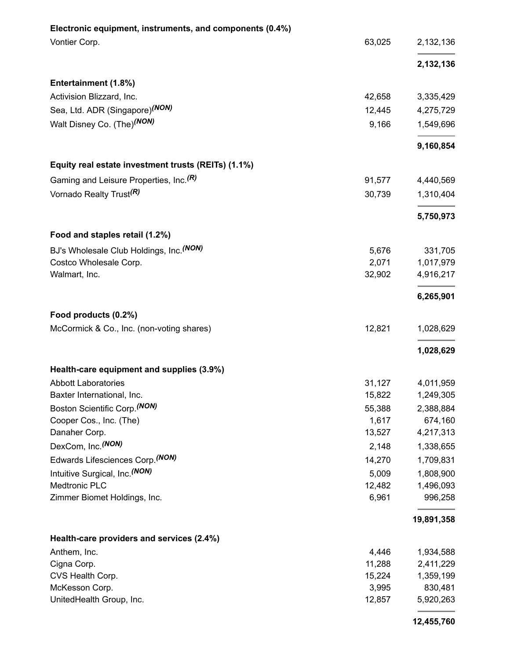| Electronic equipment, instruments, and components (0.4%) |        |            |
|----------------------------------------------------------|--------|------------|
| Vontier Corp.                                            | 63,025 | 2,132,136  |
|                                                          |        | 2,132,136  |
| Entertainment (1.8%)                                     |        |            |
| Activision Blizzard, Inc.                                | 42,658 | 3,335,429  |
| Sea, Ltd. ADR (Singapore) <sup>(NON)</sup>               | 12,445 | 4,275,729  |
| Walt Disney Co. (The) <sup>(NON)</sup>                   | 9,166  | 1,549,696  |
|                                                          |        | 9,160,854  |
| Equity real estate investment trusts (REITs) (1.1%)      |        |            |
| Gaming and Leisure Properties, Inc. <sup>(R)</sup>       | 91,577 | 4,440,569  |
| Vornado Realty Trust <sup>(R)</sup>                      | 30,739 | 1,310,404  |
|                                                          |        | 5,750,973  |
| Food and staples retail (1.2%)                           |        |            |
| BJ's Wholesale Club Holdings, Inc. (NON)                 | 5,676  | 331,705    |
| Costco Wholesale Corp.                                   | 2,071  | 1,017,979  |
| Walmart, Inc.                                            | 32,902 | 4,916,217  |
|                                                          |        | 6,265,901  |
| Food products (0.2%)                                     |        |            |
| McCormick & Co., Inc. (non-voting shares)                | 12,821 | 1,028,629  |
|                                                          |        | 1,028,629  |
| Health-care equipment and supplies (3.9%)                |        |            |
| <b>Abbott Laboratories</b>                               | 31,127 | 4,011,959  |
| Baxter International, Inc.                               | 15,822 | 1,249,305  |
| Boston Scientific Corp. (NON)                            | 55,388 | 2,388,884  |
| Cooper Cos., Inc. (The)                                  | 1,617  | 674,160    |
| Danaher Corp.                                            | 13,527 | 4,217,313  |
| DexCom, Inc. (NON)                                       | 2,148  | 1,338,655  |
| Edwards Lifesciences Corp. (NON)                         | 14,270 | 1,709,831  |
| Intuitive Surgical, Inc. (NON)                           | 5,009  | 1,808,900  |
| <b>Medtronic PLC</b>                                     | 12,482 | 1,496,093  |
| Zimmer Biomet Holdings, Inc.                             | 6,961  | 996,258    |
|                                                          |        | 19,891,358 |
| Health-care providers and services (2.4%)                |        |            |
| Anthem, Inc.                                             | 4,446  | 1,934,588  |
| Cigna Corp.                                              | 11,288 | 2,411,229  |
| CVS Health Corp.                                         | 15,224 | 1,359,199  |
| McKesson Corp.                                           | 3,995  | 830,481    |
| UnitedHealth Group, Inc.                                 | 12,857 | 5,920,263  |

**12,455,760**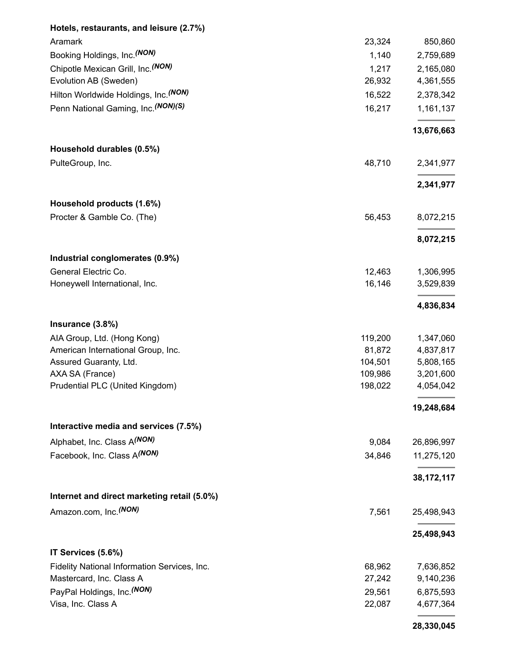| Hotels, restaurants, and leisure (2.7%)      |         |              |
|----------------------------------------------|---------|--------------|
| Aramark                                      | 23,324  | 850,860      |
| Booking Holdings, Inc. (NON)                 | 1,140   | 2,759,689    |
| Chipotle Mexican Grill, Inc. (NON)           | 1,217   | 2,165,080    |
| Evolution AB (Sweden)                        | 26,932  | 4,361,555    |
| Hilton Worldwide Holdings, Inc. (NON)        | 16,522  | 2,378,342    |
| Penn National Gaming, Inc. (NON)(S)          | 16,217  | 1,161,137    |
|                                              |         | 13,676,663   |
| Household durables (0.5%)                    |         |              |
| PulteGroup, Inc.                             | 48,710  | 2,341,977    |
|                                              |         | 2,341,977    |
| Household products (1.6%)                    |         |              |
| Procter & Gamble Co. (The)                   | 56,453  | 8,072,215    |
|                                              |         | 8,072,215    |
| Industrial conglomerates (0.9%)              |         |              |
| General Electric Co.                         | 12,463  | 1,306,995    |
| Honeywell International, Inc.                | 16,146  | 3,529,839    |
|                                              |         | 4,836,834    |
| Insurance (3.8%)                             |         |              |
| AIA Group, Ltd. (Hong Kong)                  | 119,200 | 1,347,060    |
| American International Group, Inc.           | 81,872  | 4,837,817    |
| Assured Guaranty, Ltd.                       | 104,501 | 5,808,165    |
| AXA SA (France)                              | 109,986 | 3,201,600    |
| Prudential PLC (United Kingdom)              | 198,022 | 4,054,042    |
|                                              |         | 19,248,684   |
| Interactive media and services (7.5%)        |         |              |
| Alphabet, Inc. Class A(NON)                  | 9,084   | 26,896,997   |
| Facebook, Inc. Class A(NON)                  | 34,846  | 11,275,120   |
|                                              |         | 38, 172, 117 |
| Internet and direct marketing retail (5.0%)  |         |              |
| Amazon.com, Inc. <sup>(NON)</sup>            | 7,561   | 25,498,943   |
|                                              |         | 25,498,943   |
| IT Services (5.6%)                           |         |              |
| Fidelity National Information Services, Inc. | 68,962  | 7,636,852    |
| Mastercard, Inc. Class A                     | 27,242  | 9,140,236    |
| PayPal Holdings, Inc. <sup>(NON)</sup>       | 29,561  | 6,875,593    |
| Visa, Inc. Class A                           | 22,087  | 4,677,364    |
|                                              |         |              |

**28,330,045**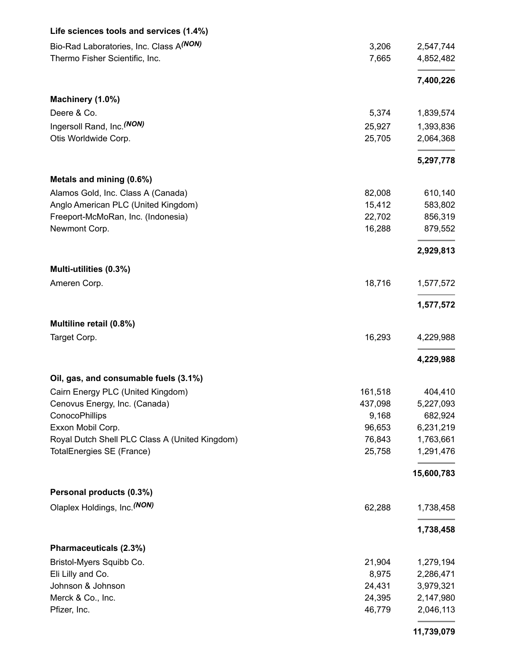| Life sciences tools and services (1.4%)        |         |            |
|------------------------------------------------|---------|------------|
| Bio-Rad Laboratories, Inc. Class A(NON)        | 3,206   | 2,547,744  |
| Thermo Fisher Scientific, Inc.                 | 7,665   | 4,852,482  |
|                                                |         | 7,400,226  |
| Machinery (1.0%)                               |         |            |
| Deere & Co.                                    | 5,374   | 1,839,574  |
| Ingersoll Rand, Inc. <sup>(NON)</sup>          | 25,927  | 1,393,836  |
| Otis Worldwide Corp.                           | 25,705  | 2,064,368  |
|                                                |         | 5,297,778  |
| Metals and mining (0.6%)                       |         |            |
| Alamos Gold, Inc. Class A (Canada)             | 82,008  | 610,140    |
| Anglo American PLC (United Kingdom)            | 15,412  | 583,802    |
| Freeport-McMoRan, Inc. (Indonesia)             | 22,702  | 856,319    |
| Newmont Corp.                                  | 16,288  | 879,552    |
|                                                |         | 2,929,813  |
| Multi-utilities (0.3%)                         |         |            |
| Ameren Corp.                                   | 18,716  | 1,577,572  |
|                                                |         | 1,577,572  |
| Multiline retail (0.8%)                        |         |            |
| Target Corp.                                   | 16,293  | 4,229,988  |
|                                                |         | 4,229,988  |
| Oil, gas, and consumable fuels (3.1%)          |         |            |
| Cairn Energy PLC (United Kingdom)              | 161,518 | 404,410    |
| Cenovus Energy, Inc. (Canada)                  | 437,098 | 5,227,093  |
| ConocoPhillips                                 | 9,168   | 682,924    |
| Exxon Mobil Corp.                              | 96,653  | 6,231,219  |
| Royal Dutch Shell PLC Class A (United Kingdom) | 76,843  | 1,763,661  |
| TotalEnergies SE (France)                      | 25,758  | 1,291,476  |
|                                                |         | 15,600,783 |
| Personal products (0.3%)                       |         |            |
| Olaplex Holdings, Inc. (NON)                   | 62,288  | 1,738,458  |
|                                                |         | 1,738,458  |
| Pharmaceuticals (2.3%)                         |         |            |
| Bristol-Myers Squibb Co.                       | 21,904  | 1,279,194  |
| Eli Lilly and Co.                              | 8,975   | 2,286,471  |
| Johnson & Johnson                              | 24,431  | 3,979,321  |
| Merck & Co., Inc.                              | 24,395  | 2,147,980  |
| Pfizer, Inc.                                   | 46,779  | 2,046,113  |
|                                                |         |            |

**11,739,079**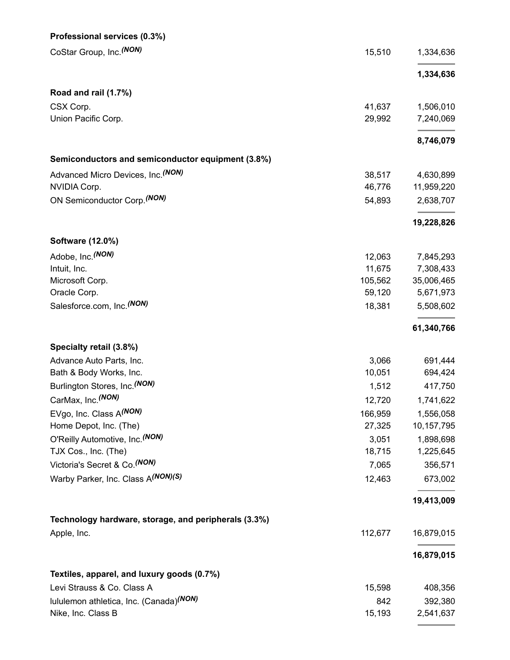| Professional services (0.3%)                         |         |            |
|------------------------------------------------------|---------|------------|
| CoStar Group, Inc. (NON)                             | 15,510  | 1,334,636  |
|                                                      |         | 1,334,636  |
| Road and rail (1.7%)                                 |         |            |
| CSX Corp.                                            | 41,637  | 1,506,010  |
| Union Pacific Corp.                                  | 29,992  | 7,240,069  |
|                                                      |         | 8,746,079  |
| Semiconductors and semiconductor equipment (3.8%)    |         |            |
| Advanced Micro Devices, Inc. (NON)                   | 38,517  | 4,630,899  |
| NVIDIA Corp.                                         | 46,776  | 11,959,220 |
| ON Semiconductor Corp. (NON)                         | 54,893  | 2,638,707  |
|                                                      |         | 19,228,826 |
| Software (12.0%)                                     |         |            |
| Adobe, Inc. (NON)                                    | 12,063  | 7,845,293  |
| Intuit, Inc.                                         | 11,675  | 7,308,433  |
| Microsoft Corp.                                      | 105,562 | 35,006,465 |
| Oracle Corp.                                         | 59,120  | 5,671,973  |
| Salesforce.com, Inc. <sup>(NON)</sup>                | 18,381  | 5,508,602  |
|                                                      |         | 61,340,766 |
| Specialty retail (3.8%)                              |         |            |
| Advance Auto Parts, Inc.                             | 3,066   | 691,444    |
| Bath & Body Works, Inc.                              | 10,051  | 694,424    |
| Burlington Stores, Inc. <sup>(NON)</sup>             | 1,512   | 417,750    |
| CarMax, Inc. (NON)                                   | 12,720  | 1,741,622  |
| EVgo, Inc. Class A(NON)                              | 166,959 | 1,556,058  |
| Home Depot, Inc. (The)                               | 27,325  | 10,157,795 |
| O'Reilly Automotive, Inc. (NON)                      | 3,051   | 1,898,698  |
| TJX Cos., Inc. (The)                                 | 18,715  | 1,225,645  |
| Victoria's Secret & Co. (NON)                        | 7,065   | 356,571    |
| Warby Parker, Inc. Class A(NON)(S)                   | 12,463  | 673,002    |
|                                                      |         | 19,413,009 |
| Technology hardware, storage, and peripherals (3.3%) |         |            |
| Apple, Inc.                                          | 112,677 | 16,879,015 |
|                                                      |         | 16,879,015 |
| Textiles, apparel, and luxury goods (0.7%)           |         |            |
| Levi Strauss & Co. Class A                           | 15,598  | 408,356    |
|                                                      |         |            |
| lululemon athletica, Inc. (Canada) <sup>(NON)</sup>  | 842     | 392,380    |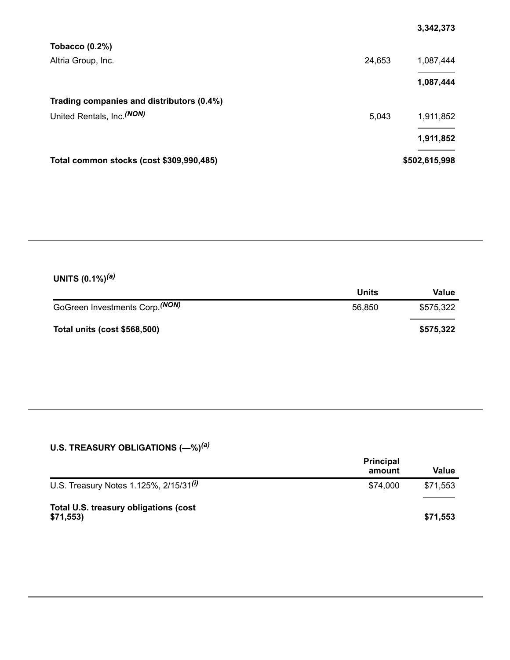|                                           |        | 3,342,373     |
|-------------------------------------------|--------|---------------|
| Tobacco $(0.2\%)$                         |        |               |
| Altria Group, Inc.                        | 24,653 | 1,087,444     |
|                                           |        | 1,087,444     |
| Trading companies and distributors (0.4%) |        |               |
| United Rentals, Inc. (NON)                | 5,043  | 1,911,852     |
|                                           |        | 1,911,852     |
| Total common stocks (cost \$309,990,485)  |        | \$502,615,998 |

#### **UNITS (0.1%)** *(a)*

|                                            | <b>Units</b> | Value     |
|--------------------------------------------|--------------|-----------|
| GoGreen Investments Corp. <sup>(NON)</sup> | 56.850       | \$575.322 |
| Total units (cost \$568,500)               |              | \$575,322 |

#### **U.S. TREASURY OBLIGATIONS (—%)** *(a)*

|                                                   | <b>Principal</b><br>amount | Value    |
|---------------------------------------------------|----------------------------|----------|
| U.S. Treasury Notes 1.125%, $2/15/31^{(i)}$       | \$74,000                   | \$71,553 |
| Total U.S. treasury obligations (cost<br>\$71,553 |                            | \$71,553 |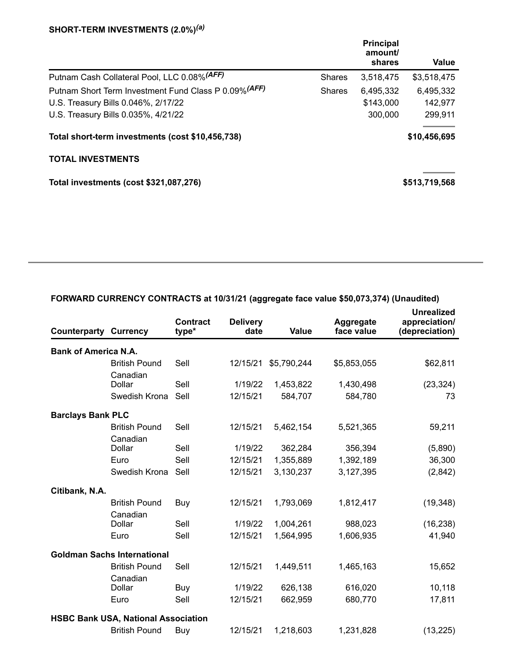#### **SHORT-TERM INVESTMENTS (2.0%)** *(a)*

|                                                       |               | <b>Principal</b><br>amount/<br>shares | Value         |
|-------------------------------------------------------|---------------|---------------------------------------|---------------|
| Putnam Cash Collateral Pool, LLC 0.08% (AFF)          | <b>Shares</b> | 3,518,475                             | \$3,518,475   |
| Putnam Short Term Investment Fund Class P 0.09% (AFF) | <b>Shares</b> | 6,495,332                             | 6,495,332     |
| U.S. Treasury Bills 0.046%, 2/17/22                   |               | \$143,000                             | 142,977       |
| U.S. Treasury Bills 0.035%, 4/21/22                   |               | 300,000                               | 299,911       |
| Total short-term investments (cost \$10,456,738)      |               |                                       | \$10,456,695  |
| <b>TOTAL INVESTMENTS</b>                              |               |                                       |               |
| Total investments (cost \$321,087,276)                |               |                                       | \$513,719,568 |
|                                                       |               |                                       |               |

| <b>Counterparty Currency</b> |                                            | <b>Contract</b><br>type* | <b>Delivery</b><br>date | <b>Value</b> | Aggregate<br>face value | <b>Unrealized</b><br>appreciation/<br>(depreciation) |  |
|------------------------------|--------------------------------------------|--------------------------|-------------------------|--------------|-------------------------|------------------------------------------------------|--|
| <b>Bank of America N.A.</b>  |                                            |                          |                         |              |                         |                                                      |  |
|                              | <b>British Pound</b>                       | Sell                     | 12/15/21                | \$5,790,244  | \$5,853,055             | \$62,811                                             |  |
|                              | Canadian<br>Dollar                         | Sell                     | 1/19/22                 | 1,453,822    | 1,430,498               | (23, 324)                                            |  |
|                              | Swedish Krona                              | Sell                     | 12/15/21                | 584,707      | 584,780                 | 73                                                   |  |
| <b>Barclays Bank PLC</b>     |                                            |                          |                         |              |                         |                                                      |  |
|                              | <b>British Pound</b>                       | Sell                     | 12/15/21                | 5,462,154    | 5,521,365               | 59,211                                               |  |
|                              | Canadian<br>Dollar                         | Sell                     | 1/19/22                 | 362,284      | 356,394                 | (5,890)                                              |  |
|                              | Euro                                       | Sell                     | 12/15/21                | 1,355,889    | 1,392,189               | 36,300                                               |  |
|                              | Swedish Krona                              | Sell                     | 12/15/21                | 3,130,237    | 3,127,395               | (2,842)                                              |  |
| Citibank, N.A.               |                                            |                          |                         |              |                         |                                                      |  |
|                              | <b>British Pound</b><br>Canadian           | Buy                      | 12/15/21                | 1,793,069    | 1,812,417               | (19, 348)                                            |  |
|                              | Dollar                                     | Sell                     | 1/19/22                 | 1,004,261    | 988,023                 | (16, 238)                                            |  |
|                              | Euro                                       | Sell                     | 12/15/21                | 1,564,995    | 1,606,935               | 41,940                                               |  |
|                              | <b>Goldman Sachs International</b>         |                          |                         |              |                         |                                                      |  |
|                              | <b>British Pound</b><br>Canadian           | Sell                     | 12/15/21                | 1,449,511    | 1,465,163               | 15,652                                               |  |
|                              | Dollar                                     | Buy                      | 1/19/22                 | 626,138      | 616,020                 | 10,118                                               |  |
|                              | Euro                                       | Sell                     | 12/15/21                | 662,959      | 680,770                 | 17,811                                               |  |
|                              | <b>HSBC Bank USA, National Association</b> |                          |                         |              |                         |                                                      |  |
|                              | <b>British Pound</b>                       | <b>Buy</b>               | 12/15/21                | 1,218,603    | 1,231,828               | (13, 225)                                            |  |

### **FORWARD CURRENCY CONTRACTS at 10/31/21 (aggregate face value \$50,073,374) (Unaudited)**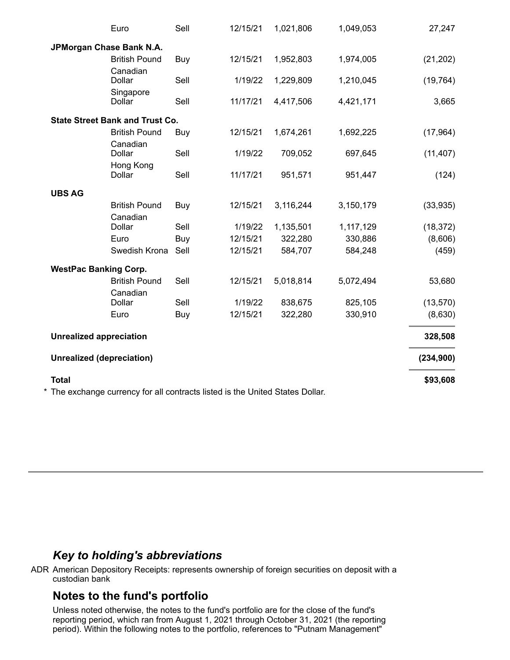|                                  | Euro                                                                          | Sell | 12/15/21 | 1,021,806 | 1,049,053 | 27,247     |
|----------------------------------|-------------------------------------------------------------------------------|------|----------|-----------|-----------|------------|
|                                  | JPMorgan Chase Bank N.A.                                                      |      |          |           |           |            |
|                                  | <b>British Pound</b><br>Canadian                                              | Buy  | 12/15/21 | 1,952,803 | 1,974,005 | (21, 202)  |
|                                  | <b>Dollar</b>                                                                 | Sell | 1/19/22  | 1,229,809 | 1,210,045 | (19, 764)  |
|                                  | Singapore<br>Dollar                                                           | Sell | 11/17/21 | 4,417,506 | 4,421,171 | 3,665      |
|                                  | <b>State Street Bank and Trust Co.</b>                                        |      |          |           |           |            |
|                                  | <b>British Pound</b><br>Canadian                                              | Buy  | 12/15/21 | 1,674,261 | 1,692,225 | (17, 964)  |
|                                  | <b>Dollar</b>                                                                 | Sell | 1/19/22  | 709,052   | 697,645   | (11, 407)  |
|                                  | Hong Kong<br>Dollar                                                           | Sell | 11/17/21 | 951,571   | 951,447   | (124)      |
| <b>UBS AG</b>                    |                                                                               |      |          |           |           |            |
|                                  | <b>British Pound</b><br>Canadian                                              | Buy  | 12/15/21 | 3,116,244 | 3,150,179 | (33, 935)  |
|                                  | Dollar                                                                        | Sell | 1/19/22  | 1,135,501 | 1,117,129 | (18, 372)  |
|                                  | Euro                                                                          | Buy  | 12/15/21 | 322,280   | 330,886   | (8,606)    |
|                                  | Swedish Krona                                                                 | Sell | 12/15/21 | 584,707   | 584,248   | (459)      |
| <b>WestPac Banking Corp.</b>     |                                                                               |      |          |           |           |            |
|                                  | <b>British Pound</b><br>Canadian                                              | Sell | 12/15/21 | 5,018,814 | 5,072,494 | 53,680     |
|                                  | Dollar                                                                        | Sell | 1/19/22  | 838,675   | 825,105   | (13,570)   |
|                                  | Euro                                                                          | Buy  | 12/15/21 | 322,280   | 330,910   | (8,630)    |
| <b>Unrealized appreciation</b>   |                                                                               |      |          |           |           | 328,508    |
| <b>Unrealized (depreciation)</b> |                                                                               |      |          |           |           | (234, 900) |
| <b>Total</b>                     |                                                                               |      |          |           |           | \$93,608   |
|                                  | * The exchange currency for all contracts listed is the United States Dollar. |      |          |           |           |            |

## *Key to holding's abbreviations*

ADR American Depository Receipts: represents ownership of foreign securities on deposit with a custodian bank

## **Notes to the fund's portfolio**

Unless noted otherwise, the notes to the fund's portfolio are for the close of the fund's reporting period, which ran from August 1, 2021 through October 31, 2021 (the reporting period). Within the following notes to the portfolio, references to "Putnam Management"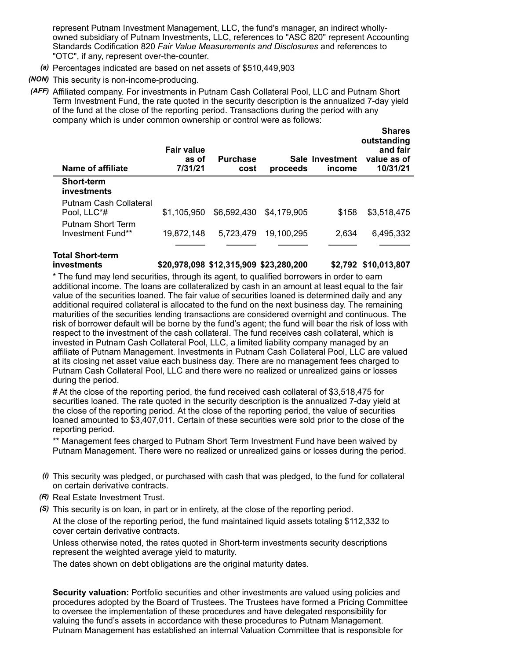represent Putnam Investment Management, LLC, the fund's manager, an indirect whollyowned subsidiary of Putnam Investments, LLC, references to "ASC 820" represent Accounting Standards Codification 820 *Fair Value Measurements and Disclosures* and references to "OTC", if any, represent over-the-counter.

- *(a)* Percentages indicated are based on net assets of \$510,449,903
- *(NON)* This security is non-income-producing.
- *(AFF)* Affiliated company. For investments in Putnam Cash Collateral Pool, LLC and Putnam Short Term Investment Fund, the rate quoted in the security description is the annualized 7-day yield of the fund at the close of the reporting period. Transactions during the period with any company which is under common ownership or control were as follows:

| Name of affiliate                      | <b>Fair value</b><br>as of<br>7/31/21 | <b>Purchase</b><br>cost | proceeds    | Sale Investment<br>income | <b>Shares</b><br>outstanding<br>and fair<br>value as of<br>10/31/21 |
|----------------------------------------|---------------------------------------|-------------------------|-------------|---------------------------|---------------------------------------------------------------------|
| <b>Short-term</b><br>investments       |                                       |                         |             |                           |                                                                     |
| Putnam Cash Collateral<br>Pool, LLC*#  | \$1.105.950                           | \$6,592,430             | \$4,179,905 | \$158                     | \$3,518,475                                                         |
| Putnam Short Term<br>Investment Fund** | 19,872,148                            | 5.723.479               | 19.100.295  | 2.634                     | 6,495,332                                                           |
|                                        |                                       |                         |             |                           |                                                                     |

**Total Short-term**

**investments \$20,978,098 \$12,315,909 \$23,280,200 \$2,792 \$10,013,807**

\* The fund may lend securities, through its agent, to qualified borrowers in order to earn additional income. The loans are collateralized by cash in an amount at least equal to the fair value of the securities loaned. The fair value of securities loaned is determined daily and any additional required collateral is allocated to the fund on the next business day. The remaining maturities of the securities lending transactions are considered overnight and continuous. The risk of borrower default will be borne by the fund's agent; the fund will bear the risk of loss with respect to the investment of the cash collateral. The fund receives cash collateral, which is invested in Putnam Cash Collateral Pool, LLC, a limited liability company managed by an affiliate of Putnam Management. Investments in Putnam Cash Collateral Pool, LLC are valued at its closing net asset value each business day. There are no management fees charged to Putnam Cash Collateral Pool, LLC and there were no realized or unrealized gains or losses during the period.

# At the close of the reporting period, the fund received cash collateral of \$3,518,475 for securities loaned. The rate quoted in the security description is the annualized 7-day yield at the close of the reporting period. At the close of the reporting period, the value of securities loaned amounted to \$3,407,011. Certain of these securities were sold prior to the close of the reporting period.

\*\* Management fees charged to Putnam Short Term Investment Fund have been waived by Putnam Management. There were no realized or unrealized gains or losses during the period.

- *(i)* This security was pledged, or purchased with cash that was pledged, to the fund for collateral on certain derivative contracts.
- *(R)* Real Estate Investment Trust.
- *(S)* This security is on loan, in part or in entirety, at the close of the reporting period.

At the close of the reporting period, the fund maintained liquid assets totaling \$112,332 to cover certain derivative contracts.

Unless otherwise noted, the rates quoted in Short-term investments security descriptions represent the weighted average yield to maturity.

The dates shown on debt obligations are the original maturity dates.

**Security valuation:** Portfolio securities and other investments are valued using policies and procedures adopted by the Board of Trustees. The Trustees have formed a Pricing Committee to oversee the implementation of these procedures and have delegated responsibility for valuing the fund's assets in accordance with these procedures to Putnam Management. Putnam Management has established an internal Valuation Committee that is responsible for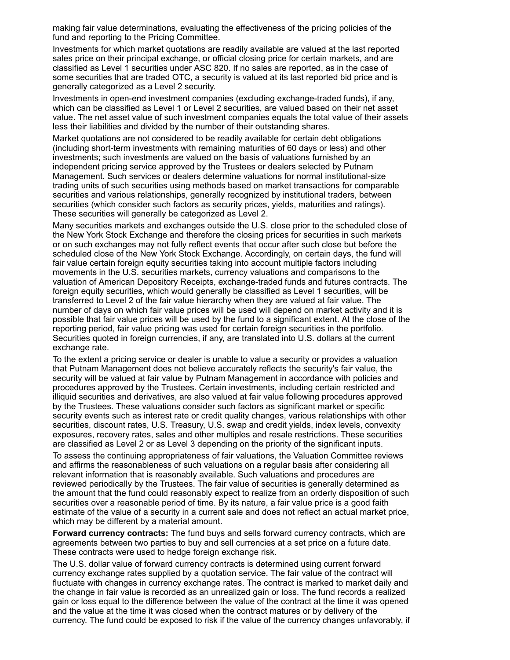making fair value determinations, evaluating the effectiveness of the pricing policies of the fund and reporting to the Pricing Committee.

Investments for which market quotations are readily available are valued at the last reported sales price on their principal exchange, or official closing price for certain markets, and are classified as Level 1 securities under ASC 820. If no sales are reported, as in the case of some securities that are traded OTC, a security is valued at its last reported bid price and is generally categorized as a Level 2 security.

Investments in open-end investment companies (excluding exchange-traded funds), if any, which can be classified as Level 1 or Level 2 securities, are valued based on their net asset value. The net asset value of such investment companies equals the total value of their assets less their liabilities and divided by the number of their outstanding shares.

Market quotations are not considered to be readily available for certain debt obligations (including short-term investments with remaining maturities of 60 days or less) and other investments; such investments are valued on the basis of valuations furnished by an independent pricing service approved by the Trustees or dealers selected by Putnam Management. Such services or dealers determine valuations for normal institutional-size trading units of such securities using methods based on market transactions for comparable securities and various relationships, generally recognized by institutional traders, between securities (which consider such factors as security prices, yields, maturities and ratings). These securities will generally be categorized as Level 2.

Many securities markets and exchanges outside the U.S. close prior to the scheduled close of the New York Stock Exchange and therefore the closing prices for securities in such markets or on such exchanges may not fully reflect events that occur after such close but before the scheduled close of the New York Stock Exchange. Accordingly, on certain days, the fund will fair value certain foreign equity securities taking into account multiple factors including movements in the U.S. securities markets, currency valuations and comparisons to the valuation of American Depository Receipts, exchange-traded funds and futures contracts. The foreign equity securities, which would generally be classified as Level 1 securities, will be transferred to Level 2 of the fair value hierarchy when they are valued at fair value. The number of days on which fair value prices will be used will depend on market activity and it is possible that fair value prices will be used by the fund to a significant extent. At the close of the reporting period, fair value pricing was used for certain foreign securities in the portfolio. Securities quoted in foreign currencies, if any, are translated into U.S. dollars at the current exchange rate.

To the extent a pricing service or dealer is unable to value a security or provides a valuation that Putnam Management does not believe accurately reflects the security's fair value, the security will be valued at fair value by Putnam Management in accordance with policies and procedures approved by the Trustees. Certain investments, including certain restricted and illiquid securities and derivatives, are also valued at fair value following procedures approved by the Trustees. These valuations consider such factors as significant market or specific security events such as interest rate or credit quality changes, various relationships with other securities, discount rates, U.S. Treasury, U.S. swap and credit yields, index levels, convexity exposures, recovery rates, sales and other multiples and resale restrictions. These securities are classified as Level 2 or as Level 3 depending on the priority of the significant inputs.

To assess the continuing appropriateness of fair valuations, the Valuation Committee reviews and affirms the reasonableness of such valuations on a regular basis after considering all relevant information that is reasonably available. Such valuations and procedures are reviewed periodically by the Trustees. The fair value of securities is generally determined as the amount that the fund could reasonably expect to realize from an orderly disposition of such securities over a reasonable period of time. By its nature, a fair value price is a good faith estimate of the value of a security in a current sale and does not reflect an actual market price, which may be different by a material amount.

**Forward currency contracts:** The fund buys and sells forward currency contracts, which are agreements between two parties to buy and sell currencies at a set price on a future date. These contracts were used to hedge foreign exchange risk.

The U.S. dollar value of forward currency contracts is determined using current forward currency exchange rates supplied by a quotation service. The fair value of the contract will fluctuate with changes in currency exchange rates. The contract is marked to market daily and the change in fair value is recorded as an unrealized gain or loss. The fund records a realized gain or loss equal to the difference between the value of the contract at the time it was opened and the value at the time it was closed when the contract matures or by delivery of the currency. The fund could be exposed to risk if the value of the currency changes unfavorably, if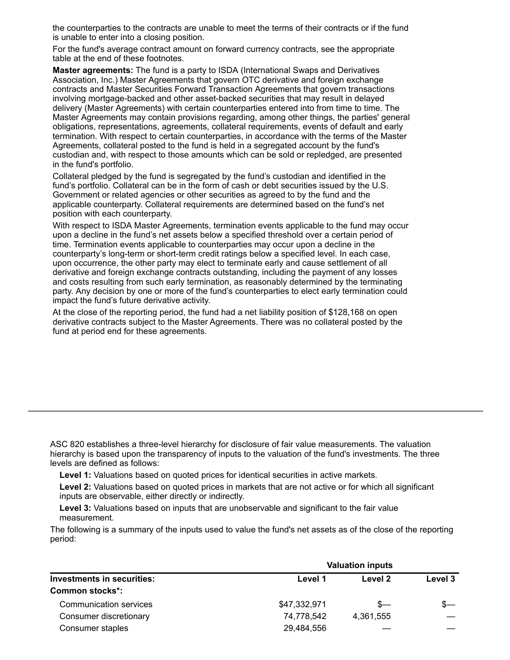the counterparties to the contracts are unable to meet the terms of their contracts or if the fund is unable to enter into a closing position.

For the fund's average contract amount on forward currency contracts, see the appropriate table at the end of these footnotes.

**Master agreements:** The fund is a party to ISDA (International Swaps and Derivatives Association, Inc.) Master Agreements that govern OTC derivative and foreign exchange contracts and Master Securities Forward Transaction Agreements that govern transactions involving mortgage-backed and other asset-backed securities that may result in delayed delivery (Master Agreements) with certain counterparties entered into from time to time. The Master Agreements may contain provisions regarding, among other things, the parties' general obligations, representations, agreements, collateral requirements, events of default and early termination. With respect to certain counterparties, in accordance with the terms of the Master Agreements, collateral posted to the fund is held in a segregated account by the fund's custodian and, with respect to those amounts which can be sold or repledged, are presented in the fund's portfolio.

Collateral pledged by the fund is segregated by the fund's custodian and identified in the fund's portfolio. Collateral can be in the form of cash or debt securities issued by the U.S. Government or related agencies or other securities as agreed to by the fund and the applicable counterparty. Collateral requirements are determined based on the fund's net position with each counterparty.

With respect to ISDA Master Agreements, termination events applicable to the fund may occur upon a decline in the fund's net assets below a specified threshold over a certain period of time. Termination events applicable to counterparties may occur upon a decline in the counterparty's long-term or short-term credit ratings below a specified level. In each case, upon occurrence, the other party may elect to terminate early and cause settlement of all derivative and foreign exchange contracts outstanding, including the payment of any losses and costs resulting from such early termination, as reasonably determined by the terminating party. Any decision by one or more of the fund's counterparties to elect early termination could impact the fund's future derivative activity.

At the close of the reporting period, the fund had a net liability position of \$128,168 on open derivative contracts subject to the Master Agreements. There was no collateral posted by the fund at period end for these agreements.

ASC 820 establishes a three-level hierarchy for disclosure of fair value measurements. The valuation hierarchy is based upon the transparency of inputs to the valuation of the fund's investments. The three levels are defined as follows:

**Level 1:** Valuations based on quoted prices for identical securities in active markets.

**Level 2:** Valuations based on quoted prices in markets that are not active or for which all significant inputs are observable, either directly or indirectly.

**Level 3:** Valuations based on inputs that are unobservable and significant to the fair value measurement.

The following is a summary of the inputs used to value the fund's net assets as of the close of the reporting period:

| <b>Investments in securities:</b> | <b>Valuation inputs</b> |           |         |  |
|-----------------------------------|-------------------------|-----------|---------|--|
|                                   | Level 1                 | Level 2   | Level 3 |  |
| Common stocks*:                   |                         |           |         |  |
| Communication services            | \$47,332,971            | $S-$      |         |  |
| Consumer discretionary            | 74,778,542              | 4,361,555 |         |  |
| Consumer staples                  | 29,484,556              |           |         |  |